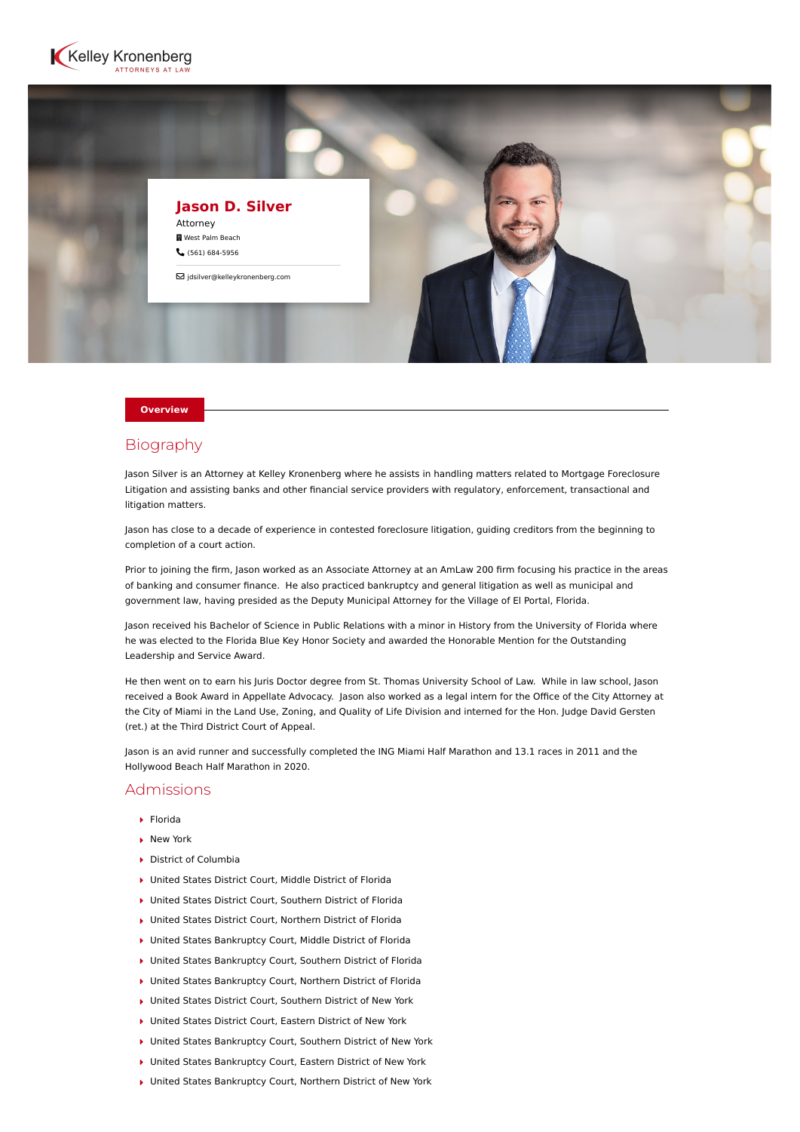



### **Overview**

## **Biography**

Jason Silver is an Attorney at Kelley Kronenberg where he assists in handling matters related to Mortgage Foreclosure Litigation and assisting banks and other financial service providers with regulatory, enforcement, transactional and litigation matters.

Jason has close to a decade of experience in contested foreclosure litigation, guiding creditors from the beginning to completion of a court action.

Prior to joining the firm, Jason worked as an Associate Attorney at an AmLaw 200 firm focusing his practice in the areas of banking and consumer finance. He also practiced bankruptcy and general litigation as well as municipal and government law, having presided as the Deputy Municipal Attorney for the Village of El Portal, Florida.

Jason received his Bachelor of Science in Public Relations with a minor in History from the University of Florida where he was elected to the Florida Blue Key Honor Society and awarded the Honorable Mention for the Outstanding Leadership and Service Award.

He then went on to earn his Juris Doctor degree from St. Thomas University School of Law. While in law school, Jason received a Book Award in Appellate Advocacy. Jason also worked as a legal intern for the Office of the City Attorney at the City of Miami in the Land Use, Zoning, and Quality of Life Division and interned for the Hon. Judge David Gersten (ret.) at the Third District Court of Appeal.

Jason is an avid runner and successfully completed the ING Miami Half Marathon and 13.1 races in 2011 and the Hollywood Beach Half Marathon in 2020.

## Admissions

- Florida
- New York
- ▶ District of Columbia
- ▶ United States District Court, Middle District of Florida
- United States District Court, Southern District of Florida
- United States District Court, Northern District of Florida
- ▶ United States Bankruptcy Court, Middle District of Florida
- United States Bankruptcy Court, Southern District of Florida
- ▶ United States Bankruptcy Court, Northern District of Florida
- ▶ United States District Court, Southern District of New York
- ▶ United States District Court, Eastern District of New York
- ▶ United States Bankruptcy Court, Southern District of New York
- ▶ United States Bankruptcy Court, Eastern District of New York
- ▶ United States Bankruptcy Court, Northern District of New York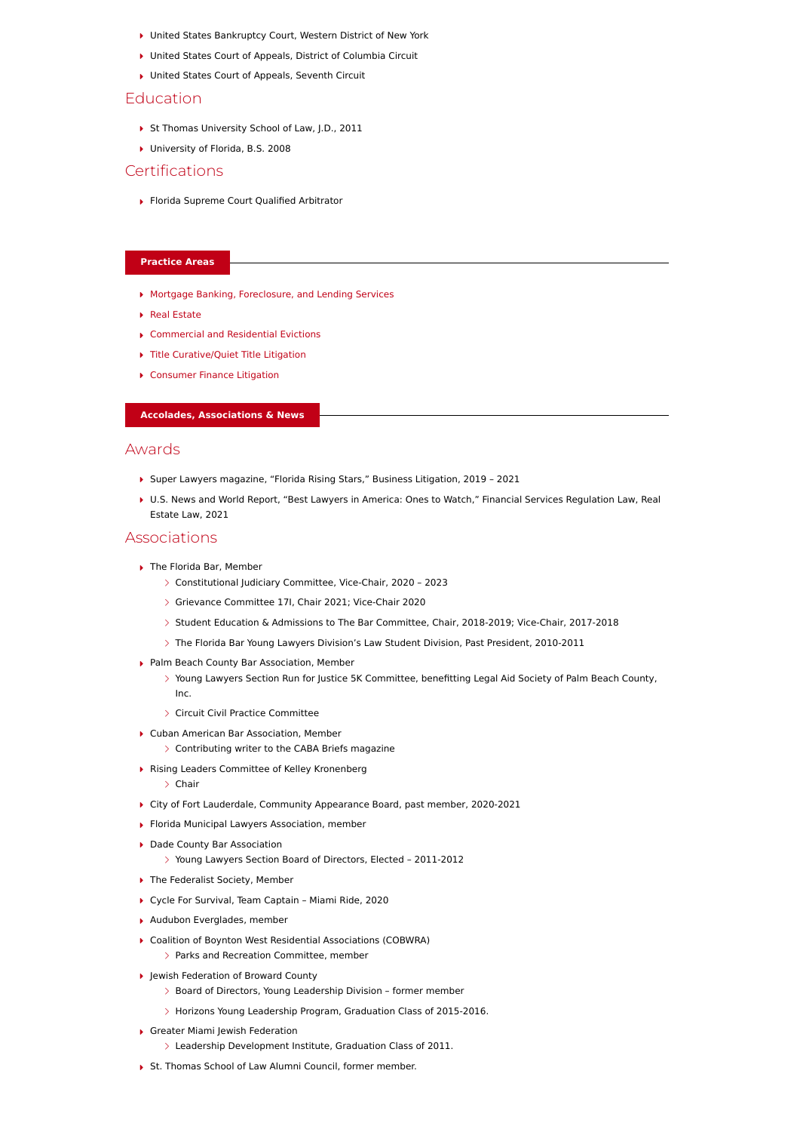- United States Bankruptcy Court, Western District of New York
- United States Court of Appeals, District of Columbia Circuit
- ▶ United States Court of Appeals, Seventh Circuit

# Education

- ▶ St Thomas University School of Law, J.D., 2011
- ▶ University of Florida, B.S. 2008

## Certifications

▶ Florida Supreme Court Qualified Arbitrator

### **Practice Areas**

- [Mortgage Banking, Foreclosure, and Lending Services](https://www.kelleykronenberg.com/our-practices/mortgage-banking-and-lending-services/)
- ▶ [Real Estate](https://www.kelleykronenberg.com/our-practices/real-estate/)
- [Commercial and Residential Evictions](https://www.kelleykronenberg.com/our-practices/real-estate/commercial-and-residential-evictions/)
- ▶ [Title Curative/Quiet Title Litigation](https://www.kelleykronenberg.com/our-practices/real-estate/title-curative-quiet-title-litigation/)
- ▶ [Consumer Finance Litigation](https://www.kelleykronenberg.com/our-practices/real-estate/consumer-finance-litigation/)

#### **Accolades, Associations & News**

## Awards

- Super Lawyers magazine, "Florida Rising Stars," Business Litigation, 2019 2021
- U.S. News and World Report, "Best Lawyers in America: Ones to Watch," Financial Services Regulation Law, Real Estate Law, 2021

## Associations

- ▶ The Florida Bar, Member
	- Constitutional Judiciary Committee, Vice-Chair, 2020 2023
	- Grievance Committee 17I, Chair 2021; Vice-Chair 2020
	- > Student Education & Admissions to The Bar Committee, Chair, 2018-2019; Vice-Chair, 2017-2018
	- The Florida Bar Young Lawyers Division's Law Student Division, Past President, 2010-2011
- ▶ Palm Beach County Bar Association, Member
	- Young Lawyers Section Run for Justice 5K Committee, benefitting Legal Aid Society of Palm Beach County, Inc.
	- > Circuit Civil Practice Committee
- Cuban American Bar Association, Member
	- Contributing writer to the CABA Briefs magazine
- ▶ Rising Leaders Committee of Kelley Kronenberg
	- > Chair
- City of Fort Lauderdale, Community Appearance Board, past member, 2020-2021
- **Florida Municipal Lawyers Association, member**
- ▶ Dade County Bar Association
	- Young Lawyers Section Board of Directors, Elected 2011-2012
- ▶ The Federalist Society, Member
- ▶ Cycle For Survival, Team Captain Miami Ride, 2020
- Audubon Everglades, member
- Coalition of Boynton West Residential Associations (COBWRA)
	- Parks and Recreation Committee, member
- ▶ Jewish Federation of Broward County
	- > Board of Directors, Young Leadership Division former member
	- Horizons Young Leadership Program, Graduation Class of 2015-2016.
- Greater Miami Jewish Federation
	- Leadership Development Institute, Graduation Class of 2011.
- St. Thomas School of Law Alumni Council, former member.